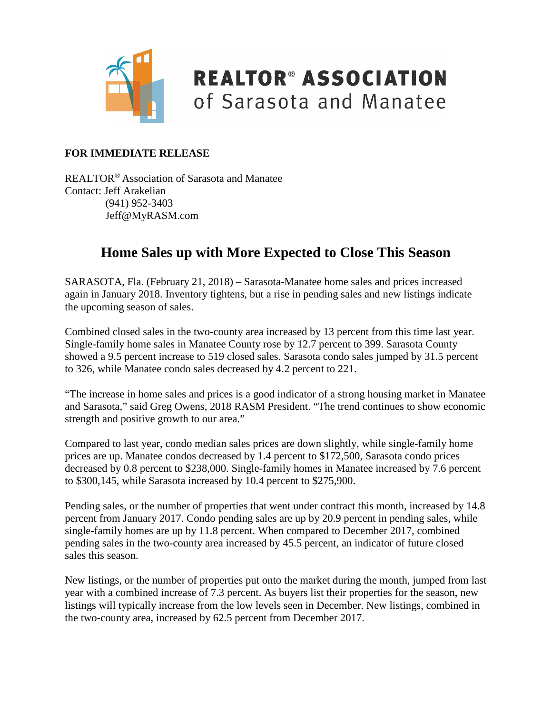

### **REALTOR® ASSOCIATION** of Sarasota and Manatee

#### **FOR IMMEDIATE RELEASE**

REALTOR® Association of Sarasota and Manatee Contact: Jeff Arakelian (941) 952-3403 Jeff@MyRASM.com

#### **Home Sales up with More Expected to Close This Season**

SARASOTA, Fla. (February 21, 2018) – Sarasota-Manatee home sales and prices increased again in January 2018. Inventory tightens, but a rise in pending sales and new listings indicate the upcoming season of sales.

Combined closed sales in the two-county area increased by 13 percent from this time last year. Single-family home sales in Manatee County rose by 12.7 percent to 399. Sarasota County showed a 9.5 percent increase to 519 closed sales. Sarasota condo sales jumped by 31.5 percent to 326, while Manatee condo sales decreased by 4.2 percent to 221.

"The increase in home sales and prices is a good indicator of a strong housing market in Manatee and Sarasota," said Greg Owens, 2018 RASM President. "The trend continues to show economic strength and positive growth to our area."

Compared to last year, condo median sales prices are down slightly, while single-family home prices are up. Manatee condos decreased by 1.4 percent to \$172,500, Sarasota condo prices decreased by 0.8 percent to \$238,000. Single-family homes in Manatee increased by 7.6 percent to \$300,145, while Sarasota increased by 10.4 percent to \$275,900.

Pending sales, or the number of properties that went under contract this month, increased by 14.8 percent from January 2017. Condo pending sales are up by 20.9 percent in pending sales, while single-family homes are up by 11.8 percent. When compared to December 2017, combined pending sales in the two-county area increased by 45.5 percent, an indicator of future closed sales this season.

New listings, or the number of properties put onto the market during the month, jumped from last year with a combined increase of 7.3 percent. As buyers list their properties for the season, new listings will typically increase from the low levels seen in December. New listings, combined in the two-county area, increased by 62.5 percent from December 2017.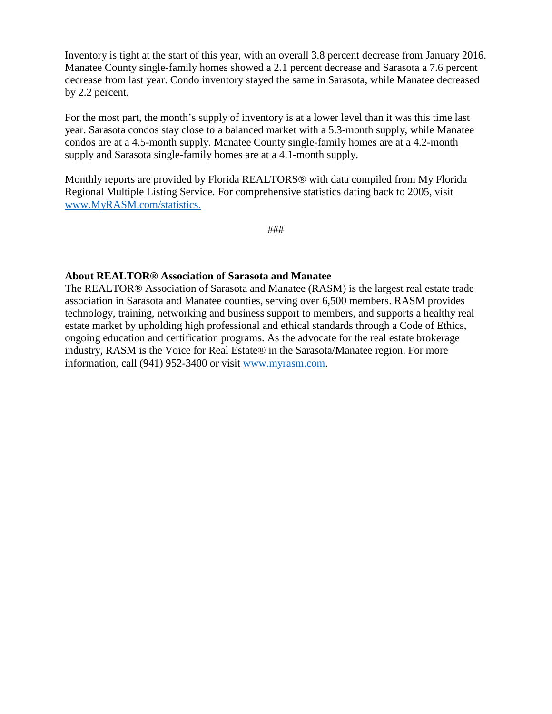Inventory is tight at the start of this year, with an overall 3.8 percent decrease from January 2016. Manatee County single-family homes showed a 2.1 percent decrease and Sarasota a 7.6 percent decrease from last year. Condo inventory stayed the same in Sarasota, while Manatee decreased by 2.2 percent.

For the most part, the month's supply of inventory is at a lower level than it was this time last year. Sarasota condos stay close to a balanced market with a 5.3-month supply, while Manatee condos are at a 4.5-month supply. Manatee County single-family homes are at a 4.2-month supply and Sarasota single-family homes are at a 4.1-month supply.

Monthly reports are provided by Florida REALTORS® with data compiled from My Florida Regional Multiple Listing Service. For comprehensive statistics dating back to 2005, visit [www.MyRASM.com/statistics.](http://www.myrasm.com/statistics)

###

#### **About REALTOR® Association of Sarasota and Manatee**

The REALTOR® Association of Sarasota and Manatee (RASM) is the largest real estate trade association in Sarasota and Manatee counties, serving over 6,500 members. RASM provides technology, training, networking and business support to members, and supports a healthy real estate market by upholding high professional and ethical standards through a Code of Ethics, ongoing education and certification programs. As the advocate for the real estate brokerage industry, RASM is the Voice for Real Estate® in the Sarasota/Manatee region. For more information, call (941) 952-3400 or visit [www.myrasm.com.](http://www.myrasm.com/)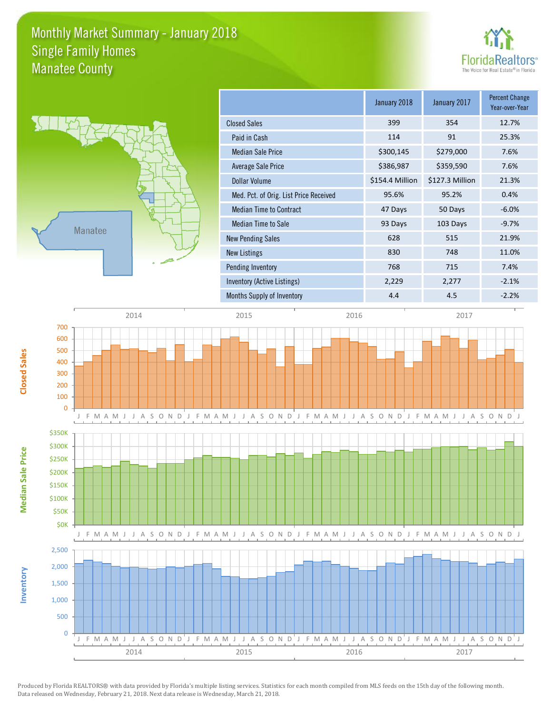#### Monthly Market Summary - January 2018 Manatee County Single Family Homes





**Median Sale Price**

**Median Sale Price** 

**Closed Sales**

**Inventory**

| January 2018    | January 2017    | Percent Change<br>Year-over-Year |
|-----------------|-----------------|----------------------------------|
| 399             | 354             | 12.7%                            |
| 114             | 91              | 25.3%                            |
| \$300,145       | \$279,000       | 7.6%                             |
| \$386,987       | \$359,590       | 7.6%                             |
| \$154.4 Million | \$127.3 Million | 21.3%                            |
| 95.6%           | 95.2%           | 0.4%                             |
| 47 Days         | 50 Days         | $-6.0%$                          |
| 93 Days         | 103 Days        | $-9.7%$                          |
| 628             | 515             | 21.9%                            |
| 830             | 748             | 11.0%                            |
| 768             | 715             | 7.4%                             |
| 2,229           | 2,277           | $-2.1%$                          |
| 4.4             | 4.5             | $-2.2%$                          |
|                 |                 |                                  |

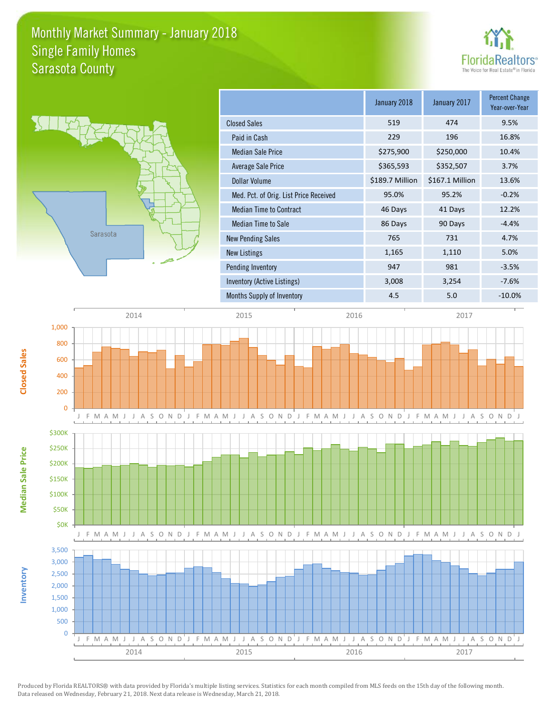### Monthly Market Summary - January 2018 Sarasota County Single Family Homes





**Median Sale Price**

Median Sale Price

**Closed Sales**

**Inventory**

|                                        | January 2018    | January 2017    | Percent Change<br>Year-over-Year |
|----------------------------------------|-----------------|-----------------|----------------------------------|
| <b>Closed Sales</b>                    | 519             | 474             | 9.5%                             |
| Paid in Cash                           | 229             | 196             | 16.8%                            |
| <b>Median Sale Price</b>               | \$275,900       | \$250,000       | 10.4%                            |
| Average Sale Price                     | \$365,593       | \$352,507       | 3.7%                             |
| <b>Dollar Volume</b>                   | \$189.7 Million | \$167.1 Million | 13.6%                            |
| Med. Pct. of Orig. List Price Received | 95.0%           | 95.2%           | $-0.2%$                          |
| <b>Median Time to Contract</b>         | 46 Days         | 41 Days         | 12.2%                            |
| Median Time to Sale                    | 86 Days         | 90 Days         | $-4.4%$                          |
| <b>New Pending Sales</b>               | 765             | 731             | 4.7%                             |
| New Listings                           | 1,165           | 1,110           | 5.0%                             |
| Pending Inventory                      | 947             | 981             | $-3.5%$                          |
| Inventory (Active Listings)            | 3,008           | 3,254           | $-7.6%$                          |
| Months Supply of Inventory             | 4.5             | 5.0             | $-10.0%$                         |

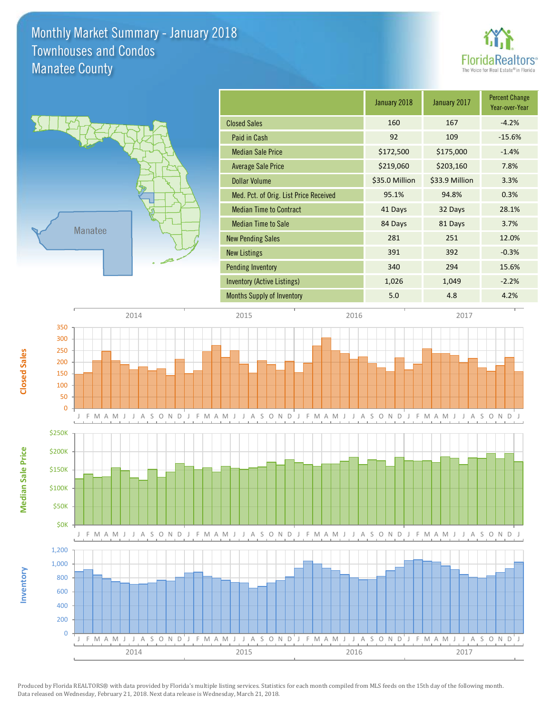### Monthly Market Summary - January 2018 Manatee County Townhouses and Condos





**Median Sale Price**

**Median Sale Price** 

**Closed Sales**

**Inventory**

|                                        | January 2018   | January 2017   | <b>Percent Change</b><br>Year-over-Year |
|----------------------------------------|----------------|----------------|-----------------------------------------|
| <b>Closed Sales</b>                    | 160            | 167            | $-4.2%$                                 |
| Paid in Cash                           | 92             | 109            | $-15.6%$                                |
| <b>Median Sale Price</b>               | \$172,500      | \$175,000      | $-1.4%$                                 |
| <b>Average Sale Price</b>              | \$219,060      | \$203,160      | 7.8%                                    |
| <b>Dollar Volume</b>                   | \$35.0 Million | \$33.9 Million | 3.3%                                    |
| Med. Pct. of Orig. List Price Received | 95.1%          | 94.8%          | 0.3%                                    |
| <b>Median Time to Contract</b>         | 41 Days        | 32 Days        | 28.1%                                   |
| <b>Median Time to Sale</b>             | 84 Days        | 81 Days        | 3.7%                                    |
| <b>New Pending Sales</b>               | 281            | 251            | 12.0%                                   |
| <b>New Listings</b>                    | 391            | 392            | $-0.3%$                                 |
| <b>Pending Inventory</b>               | 340            | 294            | 15.6%                                   |
| Inventory (Active Listings)            | 1,026          | 1,049          | $-2.2%$                                 |
| <b>Months Supply of Inventory</b>      | 5.0            | 4.8            | 4.2%                                    |
|                                        |                |                |                                         |

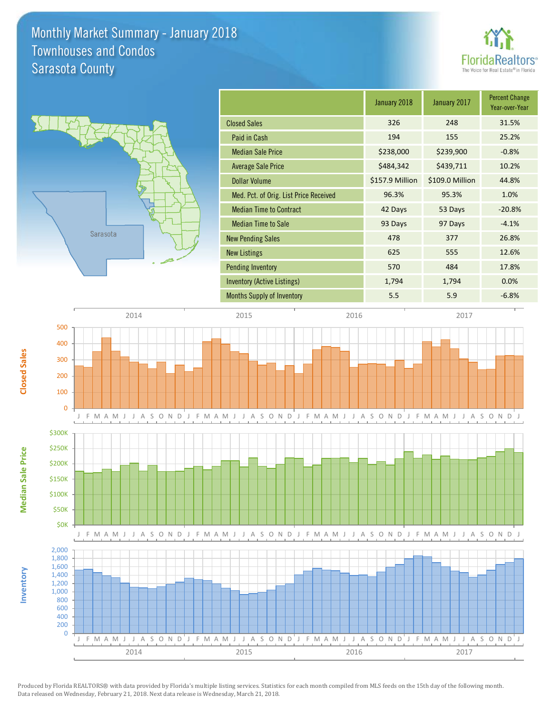### Monthly Market Summary - January 2018 Sarasota County Townhouses and Condos





| 326<br>248<br>31.5%<br><b>Closed Sales</b><br>194<br>25.2%<br>Paid in Cash<br>155<br>\$238,000<br>\$239,900<br>$-0.8%$<br><b>Median Sale Price</b><br>\$484,342<br>\$439,711<br>10.2%<br><b>Average Sale Price</b><br>\$157.9 Million<br>\$109.0 Million<br>44.8%<br>Dollar Volume<br>Med. Pct. of Orig. List Price Received<br>96.3%<br>95.3%<br>1.0%<br>$-20.8%$<br><b>Median Time to Contract</b><br>42 Days<br>53 Days<br><b>Median Time to Sale</b><br>93 Days<br>97 Days<br>$-4.1%$<br>26.8%<br>478<br>377<br><b>New Pending Sales</b><br>625<br>12.6%<br>555<br><b>New Listings</b><br>570<br>484<br>17.8%<br><b>Pending Inventory</b><br>0.0%<br>1,794<br>1,794<br>Inventory (Active Listings)<br><b>Months Supply of Inventory</b><br>5.9<br>5.5<br>$-6.8%$ | January 2018 | January 2017 | <b>Percent Change</b><br>Year-over-Year |
|----------------------------------------------------------------------------------------------------------------------------------------------------------------------------------------------------------------------------------------------------------------------------------------------------------------------------------------------------------------------------------------------------------------------------------------------------------------------------------------------------------------------------------------------------------------------------------------------------------------------------------------------------------------------------------------------------------------------------------------------------------------------|--------------|--------------|-----------------------------------------|
|                                                                                                                                                                                                                                                                                                                                                                                                                                                                                                                                                                                                                                                                                                                                                                      |              |              |                                         |
|                                                                                                                                                                                                                                                                                                                                                                                                                                                                                                                                                                                                                                                                                                                                                                      |              |              |                                         |
|                                                                                                                                                                                                                                                                                                                                                                                                                                                                                                                                                                                                                                                                                                                                                                      |              |              |                                         |
|                                                                                                                                                                                                                                                                                                                                                                                                                                                                                                                                                                                                                                                                                                                                                                      |              |              |                                         |
|                                                                                                                                                                                                                                                                                                                                                                                                                                                                                                                                                                                                                                                                                                                                                                      |              |              |                                         |
|                                                                                                                                                                                                                                                                                                                                                                                                                                                                                                                                                                                                                                                                                                                                                                      |              |              |                                         |
|                                                                                                                                                                                                                                                                                                                                                                                                                                                                                                                                                                                                                                                                                                                                                                      |              |              |                                         |
|                                                                                                                                                                                                                                                                                                                                                                                                                                                                                                                                                                                                                                                                                                                                                                      |              |              |                                         |
|                                                                                                                                                                                                                                                                                                                                                                                                                                                                                                                                                                                                                                                                                                                                                                      |              |              |                                         |
|                                                                                                                                                                                                                                                                                                                                                                                                                                                                                                                                                                                                                                                                                                                                                                      |              |              |                                         |
|                                                                                                                                                                                                                                                                                                                                                                                                                                                                                                                                                                                                                                                                                                                                                                      |              |              |                                         |
|                                                                                                                                                                                                                                                                                                                                                                                                                                                                                                                                                                                                                                                                                                                                                                      |              |              |                                         |
|                                                                                                                                                                                                                                                                                                                                                                                                                                                                                                                                                                                                                                                                                                                                                                      |              |              |                                         |



**Closed Sales**

Produced by Florida REALTORS® with data provided by Florida's multiple listing services. Statistics for each month compiled from MLS feeds on the 15th day of the following month. Data released on Wednesday, February 21, 2018. Next data release is Wednesday, March 21, 2018.

2014 2015 2016 2017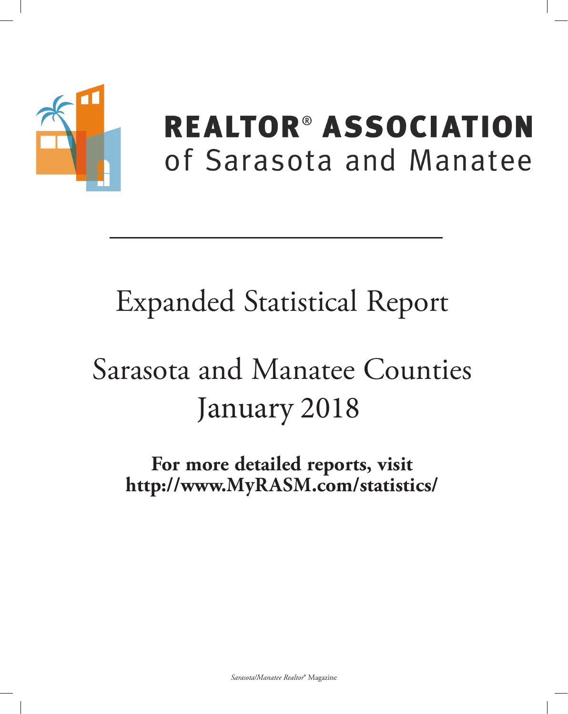

## **REALTOR® ASSOCIATION** of Sarasota and Manatee

## **Expanded Statistical Report**

# Sarasota and Manatee Counties January 2018

For more detailed reports, visit http://www.MyRASM.com/statistics/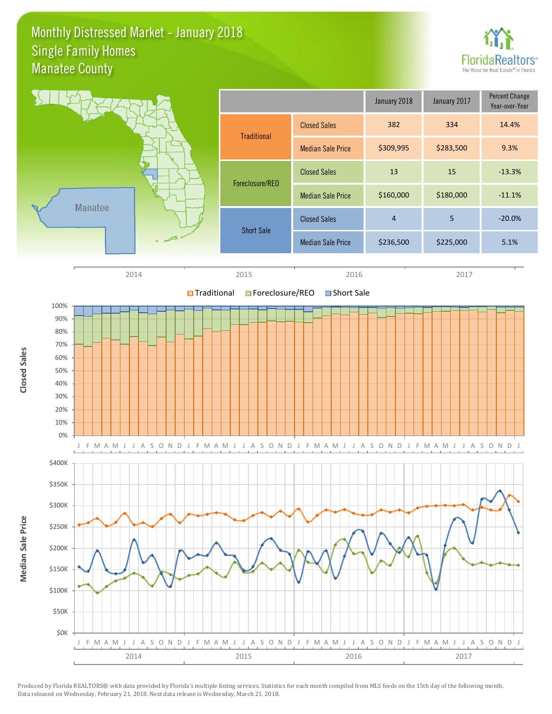#### Monthly Distressed Market - January 2018 Manatee County Single Family Homes



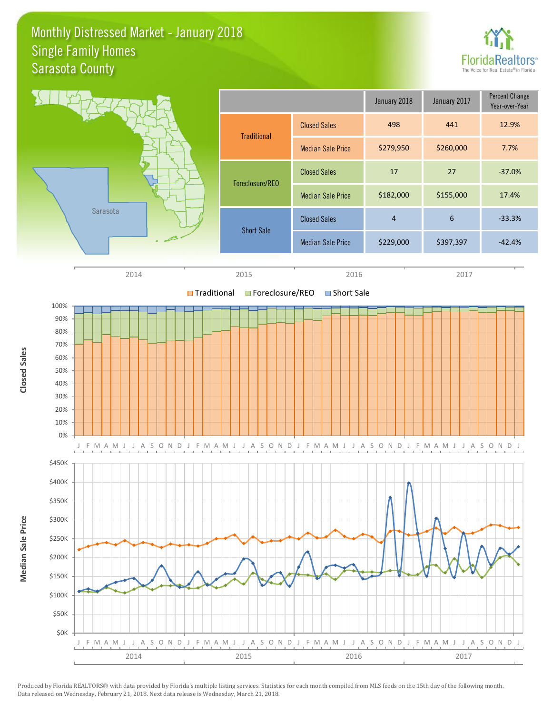#### Monthly Distressed Market - January 2018 Sarasota County Single Family Homes



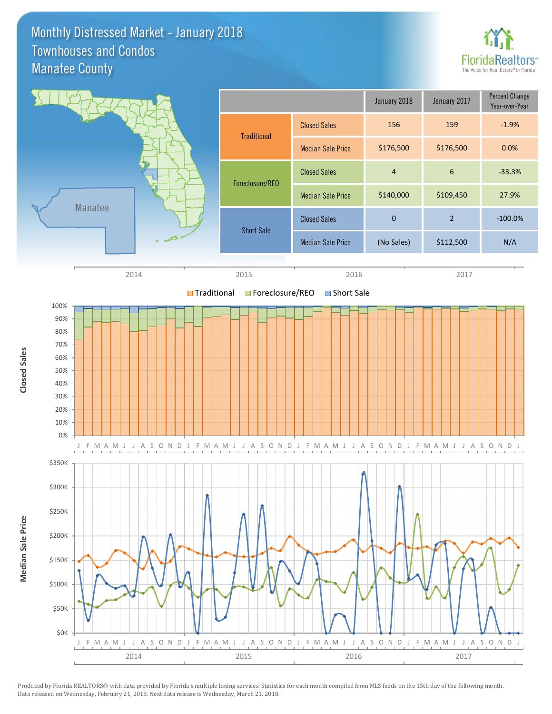#### Monthly Distressed Market - January 2018 Manatee County Townhouses and Condos